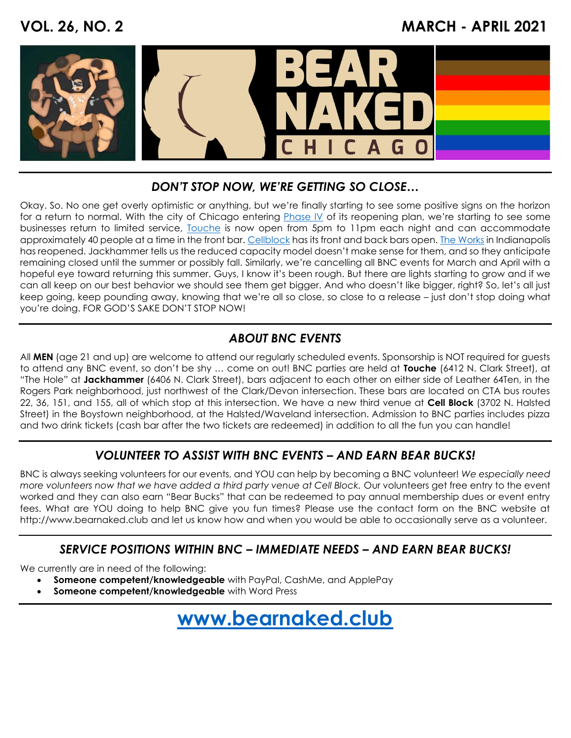## **VOL. 26, NO. 2 MARCH - APRIL 2021**



### *DON'T STOP NOW, WE'RE GETTING SO CLOSE…*

Okay. So. No one get overly optimistic or anything, but we're finally starting to see some positive signs on the horizon for a return to normal. With the city of Chicago entering **Phase IV** of its reopening plan, we're starting to see some businesses return to limited service, [Touche](https://touchechicago.com/) is now open from 5pm to 11pm each night and can accommodate approximately 40 people at a time in the front bar. [Cellblock](https://cellblockchi.com/) has its front and back bars open. [The Works](https://www.worksindy.com/) in Indianapolis has reopened. Jackhammer tells us the reduced capacity model doesn't make sense for them, and so they anticipate remaining closed until the summer or possibly fall. Similarly, we're cancelling all BNC events for March and April with a hopeful eye toward returning this summer. Guys, I know it's been rough. But there are lights starting to grow and if we can all keep on our best behavior we should see them get bigger. And who doesn't like bigger, right? So, let's all just keep going, keep pounding away, knowing that we're all so close, so close to a release – just don't stop doing what you're doing. FOR GOD'S SAKE DON'T STOP NOW!

## *ABOUT BNC EVENTS*

All **MEN** (age 21 and up) are welcome to attend our regularly scheduled events. Sponsorship is NOT required for guests to attend any BNC event, so don't be shy … come on out! BNC parties are held at **Touche** (6412 N. Clark Street), at "The Hole" at **Jackhammer** (6406 N. Clark Street), bars adjacent to each other on either side of Leather 64Ten, in the Rogers Park neighborhood, just northwest of the Clark/Devon intersection. These bars are located on CTA bus routes 22, 36, 151, and 155, all of which stop at this intersection. We have a new third venue at **Cell Block** (3702 N. Halsted Street) in the Boystown neighborhood, at the Halsted/Waveland intersection. Admission to BNC parties includes pizza and two drink tickets (cash bar after the two tickets are redeemed) in addition to all the fun you can handle!

## *VOLUNTEER TO ASSIST WITH BNC EVENTS – AND EARN BEAR BUCKS!*

BNC is always seeking volunteers for our events, and YOU can help by becoming a BNC volunteer! *We especially need more volunteers now that we have added a third party venue at Cell Block.* Our volunteers get free entry to the event worked and they can also earn "Bear Bucks" that can be redeemed to pay annual membership dues or event entry fees. What are YOU doing to help BNC give you fun times? Please use the contact form on the BNC website at [http://www.bearnaked.club](http://www.bearnaked.club/) and let us know how and when you would be able to occasionally serve as a volunteer.

#### *SERVICE POSITIONS WITHIN BNC – IMMEDIATE NEEDS – AND EARN BEAR BUCKS!*

We currently are in need of the following:

- **Someone competent/knowledgeable** with PayPal, CashMe, and ApplePay
- **Someone competent/knowledgeable** with Word Press

## **[www.bearnaked.club](http://www.bearnaked.club/)**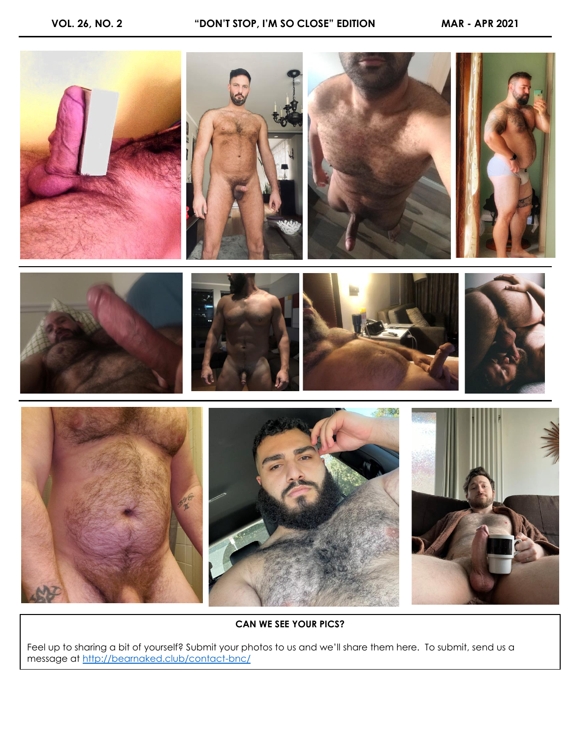

**CAN WE SEE YOUR PICS?**

Feel up to sharing a bit of yourself? Submit your photos to us and we'll share them here. To submit, send us a message at<http://bearnaked.club/contact-bnc/>